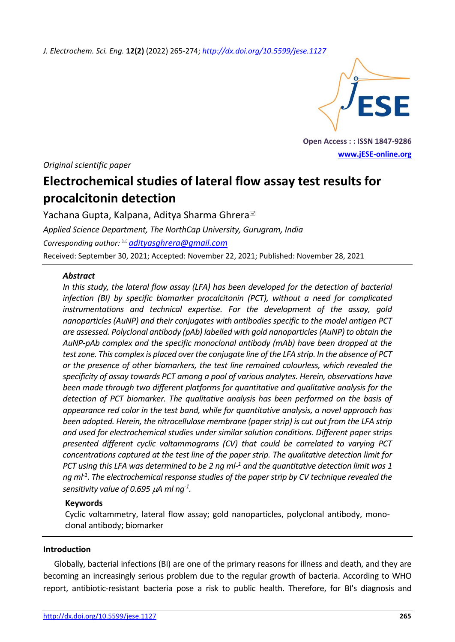*J. Electrochem. Sci. Eng.* **12(2)** (2022) 265-274; *<http://dx.doi.org/10.5599/jese.1127>*



**Open Access : : ISSN 1847-9286 [www.jESE-online.org](http://www.jese-online.org/)**

*Original scientific paper*

# **Electrochemical studies of lateral flow assay test results for procalcitonin detection**

Yachana Gupta, Kalpana, Aditya Sharma Ghrera *Applied Science Department, The NorthCap University, Gurugram, India Corresponding author: [adityasghrera@gmail.com](mailto:adityasghrera@gmail.com)* Received: September 30, 2021; Accepted: November 22, 2021; Published: November 28, 2021

## *Abstract*

*In this study, the lateral flow assay (LFA) has been developed for the detection of bacterial infection (BI) by specific biomarker procalcitonin (PCT), without a need for complicated instrumentations and technical expertise. For the development of the assay, gold nanoparticles (AuNP) and their conjugates with antibodies specific to the model antigen PCT are assessed. Polyclonal antibody (pAb) labelled with gold nanoparticles (AuNP) to obtain the AuNP-pAb complex and the specific monoclonal antibody (mAb) have been dropped at the test zone. This complex is placed over the conjugate line of the LFA strip. In the absence of PCT or the presence of other biomarkers, the test line remained colourless, which revealed the specificity of assay towards PCT among a pool of various analytes. Herein, observations have been made through two different platforms for quantitative and qualitative analysis for the detection of PCT biomarker. The qualitative analysis has been performed on the basis of appearance red color in the test band, while for quantitative analysis, a novel approach has been adopted. Herein, the nitrocellulose membrane (paper strip) is cut out from the LFA strip and used for electrochemical studies under similar solution conditions. Different paper strips presented different cyclic voltammograms (CV) that could be correlated to varying PCT concentrations captured at the test line of the paper strip. The qualitative detection limit for PCT using this LFA was determined to be 2 ng ml-<sup>1</sup> and the quantitative detection limit was 1 ng ml-1 . The electrochemical response studies of the paper strip by CV technique revealed the*  sensitivity value of 0.695  $\mu$ A ml ng<sup>-1</sup>.

# **Keywords**

Cyclic voltammetry, lateral flow assay; gold nanoparticles, polyclonal antibody, monoclonal antibody; biomarker

#### **Introduction**

Globally, bacterial infections (BI) are one of the primary reasons for illness and death, and they are becoming an increasingly serious problem due to the regular growth of bacteria. According to WHO report, antibiotic-resistant bacteria pose a risk to public health. Therefore, for BI's diagnosis and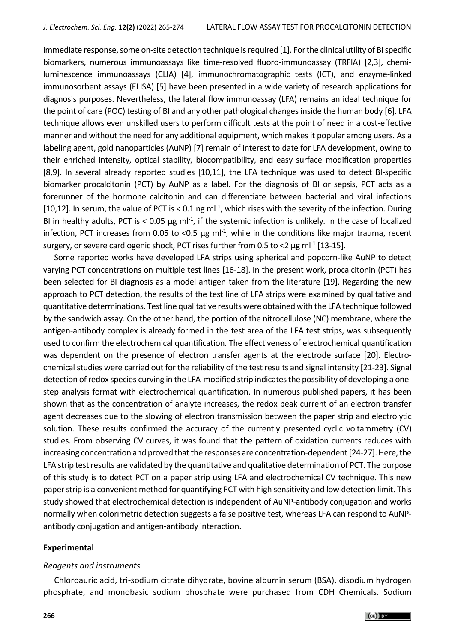immediate response, some on-site detection technique is required [\[1\]](#page-7-0). For the clinical utility of BI specific biomarkers, numerous immunoassays like time-resolved fluoro-immunoassay (TRFIA) [2,3], chemiluminescence immunoassays (CLIA) [\[4\]](#page-7-1), immunochromatographic tests (ICT), and enzyme-linked immunosorbent assays (ELISA) [\[5\]](#page-7-2) have been presented in a wide variety of research applications for diagnosis purposes. Nevertheless, the lateral flow immunoassay (LFA) remains an ideal technique for the point of care (POC) testing of BI and any other pathological changes inside the human body [6]. LFA technique allows even unskilled users to perform difficult tests at the point of need in a cost-effective manner and without the need for any additional equipment, which makes it popular among users. As a labeling agent, gold nanoparticles (AuNP) [7] remain of interest to date for LFA development, owing to their enriched intensity, optical stability, biocompatibility, and easy surface modification properties [\[8,](#page-8-0)9]. In several already reported studies [\[10,](#page-8-1)11], the LFA technique was used to detect BI-specific biomarker procalcitonin (PCT) by AuNP as a label. For the diagnosis of BI or sepsis, PCT acts as a forerunner of the hormone calcitonin and can differentiate between bacterial and viral infections [\[10](#page-8-1)[,12\]](#page-8-2). In serum, the value of PCT is < 0.1 ng ml<sup>-1</sup>, which rises with the severity of the infection. During BI in healthy adults, PCT is < 0.05  $\mu$ g ml<sup>-1</sup>, if the systemic infection is unlikely. In the case of localized infection, PCT increases from 0.05 to <0.5  $\mu$ g ml<sup>-1</sup>, while in the conditions like major trauma, recent surgery, or severe cardiogenic shock, PCT rises further from 0.5 to <2  $\mu$ g ml<sup>-1</sup> [13-15].

Some reported works have developed LFA strips using spherical and popcorn-like AuNP to detect varying PCT concentrations on multiple test lines [\[16-18\]](#page-8-3). In the present work, procalcitonin (PCT) has been selected for BI diagnosis as a model antigen taken from the literature [\[19\]](#page-8-4). Regarding the new approach to PCT detection, the results of the test line of LFA strips were examined by qualitative and quantitative determinations. Test line qualitative results were obtained with the LFA technique followed by the sandwich assay. On the other hand, the portion of the nitrocellulose (NC) membrane, where the antigen-antibody complex is already formed in the test area of the LFA test strips, was subsequently used to confirm the electrochemical quantification. The effectiveness of electrochemical quantification was dependent on the presence of electron transfer agents at the electrode surface [\[20\]](#page-8-5). Electrochemical studies were carried out for the reliability of the test results and signal intensity [\[21-23\]](#page-8-6). Signal detection of redox species curving in the LFA-modified strip indicates the possibility of developing a onestep analysis format with electrochemical quantification. In numerous published papers, it has been shown that as the concentration of analyte increases, the redox peak current of an electron transfer agent decreases due to the slowing of electron transmission between the paper strip and electrolytic solution. These results confirmed the accuracy of the currently presented cyclic voltammetry (CV) studies. From observing CV curves, it was found that the pattern of oxidation currents reduces with increasing concentration and proved that the responses are concentration-dependent [24-27]. Here, the LFA strip test results are validated by the quantitative and qualitative determination of PCT. The purpose of this study is to detect PCT on a paper strip using LFA and electrochemical CV technique. This new paper strip is a convenient method for quantifying PCT with high sensitivity and low detection limit. This study showed that electrochemical detection is independent of AuNP-antibody conjugation and works normally when colorimetric detection suggests a false positive test, whereas LFA can respond to AuNPantibody conjugation and antigen-antibody interaction.

#### **Experimental**

#### *Reagents and instruments*

Chloroauric acid, tri-sodium citrate dihydrate, bovine albumin serum (BSA), disodium hydrogen phosphate, and monobasic sodium phosphate were purchased from CDH Chemicals. Sodium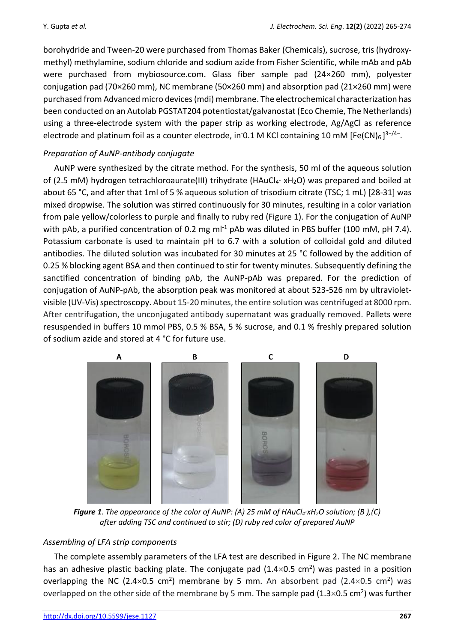borohydride and Tween-20 were purchased from Thomas Baker (Chemicals), sucrose, tris (hydroxymethyl) methylamine, sodium chloride and sodium azide from Fisher Scientific, while mAb and pAb were purchased from mybiosource.com. Glass fiber sample pad (24×260 mm), polyester conjugation pad (70×260 mm), NC membrane (50×260 mm) and absorption pad (21×260 mm) were purchased from Advanced micro devices (mdi) membrane. The electrochemical characterization has been conducted on an Autolab PGSTAT204 potentiostat/galvanostat (Eco Chemie, The Netherlands) using a three-electrode system with the paper strip as working electrode, Ag/AgCl as reference electrode and platinum foil as a counter electrode, in<sup>-</sup>0.1 M KCl containing 10 mM [Fe(CN)<sub>6</sub>]<sup>3-/4-</sup>.

# *Preparation of AuNP-antibody conjugate*

AuNP were synthesized by the citrate method. For the synthesis, 50 ml of the aqueous solution of (2.5 mM) hydrogen tetrachloroaurate(III) trihydrate (HAuCl<sub>4</sub>· xH<sub>2</sub>O) was prepared and boiled at about 65 °C, and after that 1ml of 5 % aqueous solution of trisodium citrate (TSC; 1 mL) [\[28-31\]](#page-8-7) was mixed dropwise. The solution was stirred continuously for 30 minutes, resulting in a color variation from pale yellow/colorless to purple and finally to ruby red (Figure 1). For the conjugation of AuNP with pAb, a purified concentration of 0.2 mg m $l^{-1}$  pAb was diluted in PBS buffer (100 mM, pH 7.4). Potassium carbonate is used to maintain pH to 6.7 with a solution of colloidal gold and diluted antibodies. The diluted solution was incubated for 30 minutes at 25 °C followed by the addition of 0.25 % blocking agent BSA and then continued to stir for twenty minutes. Subsequently defining the sanctified concentration of binding pAb, the AuNP-pAb was prepared. For the prediction of conjugation of AuNP-pAb, the absorption peak was monitored at about 523-526 nm by ultravioletvisible (UV-Vis) spectroscopy. About 15-20 minutes, the entire solution was centrifuged at 8000 rpm. After centrifugation, the unconjugated antibody supernatant was gradually removed. Pallets were resuspended in buffers 10 mmol PBS, 0.5 % BSA, 5 % sucrose, and 0.1 % freshly prepared solution of sodium azide and stored at 4 °C for future use.



*Figure 1. The appearance of the color of AuNP: (A) 25 mM of HAuCl4·xH2O solution; (B ),(C) after adding TSC and continued to stir; (D) ruby red color of prepared AuNP*

# *Assembling of LFA strip components*

The complete assembly parameters of the LFA test are described in Figure 2. The NC membrane has an adhesive plastic backing plate. The conjugate pad  $(1.4\times0.5~\text{cm}^2)$  was pasted in a position overlapping the NC (2.4 $\times$ 0.5 cm<sup>2</sup>) membrane by 5 mm. An absorbent pad (2.4 $\times$ 0.5 cm<sup>2</sup>) was overlapped on the other side of the membrane by 5 mm. The sample pad (1.3 $\times$ 0.5 cm<sup>2</sup>) was further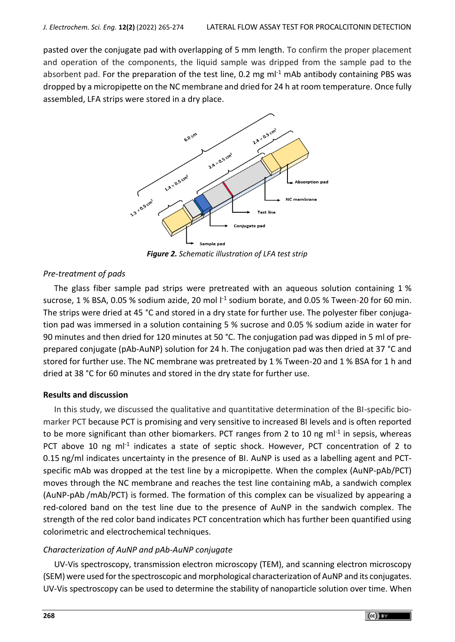pasted over the conjugate pad with overlapping of 5 mm length. To confirm the proper placement and operation of the components, the liquid sample was dripped from the sample pad to the absorbent pad. For the preparation of the test line, 0.2 mg  $ml<sup>-1</sup>$  mAb antibody containing PBS was dropped by a micropipette on the NC membrane and dried for 24 h at room temperature. Once fully assembled, LFA strips were stored in a dry place.



*Figure 2. Schematic illustration of LFA test strip*

# *Pre-treatment of pads*

The glass fiber sample pad strips were pretreated with an aqueous solution containing 1 % sucrose, 1 % BSA, 0.05 % sodium azide, 20 mol  $1<sup>-1</sup>$  sodium borate, and 0.05 % Tween-20 for 60 min. The strips were dried at 45 °C and stored in a dry state for further use. The polyester fiber conjugation pad was immersed in a solution containing 5 % sucrose and 0.05 % sodium azide in water for 90 minutes and then dried for 120 minutes at 50 °C. The conjugation pad was dipped in 5 ml of preprepared conjugate (pAb-AuNP) solution for 24 h. The conjugation pad was then dried at 37 °C and stored for further use. The NC membrane was pretreated by 1 % Tween-20 and 1 % BSA for 1 h and dried at 38 °C for 60 minutes and stored in the dry state for further use.

#### **Results and discussion**

In this study, we discussed the qualitative and quantitative determination of the BI-specific biomarker PCT because PCT is promising and very sensitive to increased BI levels and is often reported to be more significant than other biomarkers. PCT ranges from 2 to 10 ng ml<sup>-1</sup> in sepsis, whereas PCT above 10 ng ml<sup>-1</sup> indicates a state of septic shock. However, PCT concentration of 2 to 0.15 ng/ml indicates uncertainty in the presence of BI. AuNP is used as a labelling agent and PCTspecific mAb was dropped at the test line by a micropipette. When the complex (AuNP-pAb/PCT) moves through the NC membrane and reaches the test line containing mAb, a sandwich complex (AuNP-pAb /mAb/PCT) is formed. The formation of this complex can be visualized by appearing a red-colored band on the test line due to the presence of AuNP in the sandwich complex. The strength of the red color band indicates PCT concentration which has further been quantified using colorimetric and electrochemical techniques.

# *Characterization of AuNP and pAb-AuNP conjugate*

UV-Vis spectroscopy, transmission electron microscopy (TEM), and scanning electron microscopy (SEM) were used for the spectroscopic and morphological characterization of AuNP and its conjugates. UV-Vis spectroscopy can be used to determine the stability of nanoparticle solution over time. When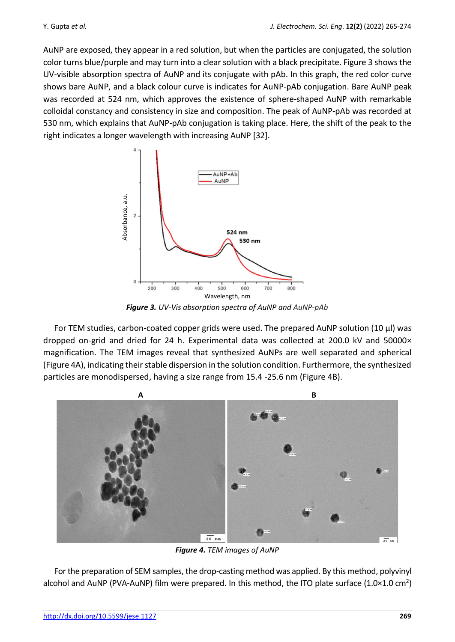AuNP are exposed, they appear in a red solution, but when the particles are conjugated, the solution color turns blue/purple and may turn into a clear solution with a black precipitate. Figure 3 shows the UV-visible absorption spectra of AuNP and its conjugate with pAb. In this graph, the red color curve shows bare AuNP, and a black colour curve is indicates for AuNP-pAb conjugation. Bare AuNP peak was recorded at 524 nm, which approves the existence of sphere-shaped AuNP with remarkable colloidal constancy and consistency in size and composition. The peak of AuNP-pAb was recorded at 530 nm, which explains that AuNP-pAb conjugation is taking place. Here, the shift of the peak to the right indicates a longer wavelength with increasing AuNP [32].



*Figure 3. UV-Vis absorption spectra of AuNP and AuNP-pAb*

For TEM studies, carbon-coated copper grids were used. The prepared AuNP solution (10  $\mu$ I) was dropped on-grid and dried for 24 h. Experimental data was collected at 200.0 kV and 50000× magnification. The TEM images reveal that synthesized AuNPs are well separated and spherical (Figure 4A), indicating their stable dispersion in the solution condition. Furthermore, the synthesized particles are monodispersed, having a size range from 15.4 -25.6 nm (Figure 4B).



*Figure 4. TEM images of AuNP*

For the preparation of SEM samples, the drop-casting method was applied. By this method, polyvinyl alcohol and AuNP (PVA-AuNP) film were prepared. In this method, the ITO plate surface (1.0×1.0 cm<sup>2</sup>)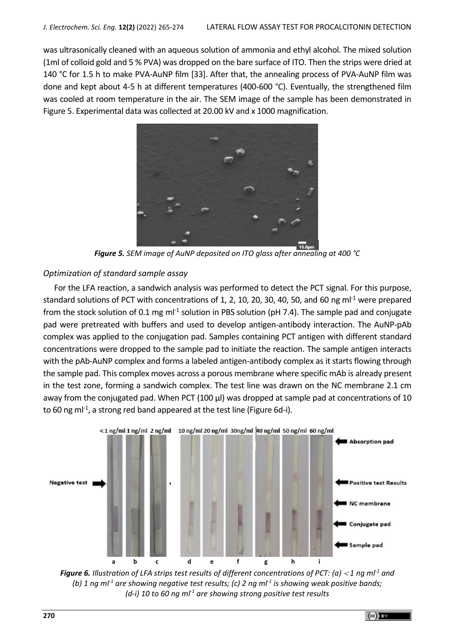was ultrasonically cleaned with an aqueous solution of ammonia and ethyl alcohol. The mixed solution (1ml of colloid gold and 5 % PVA) was dropped on the bare surface of ITO. Then the strips were dried at 140 °C for 1.5 h to make PVA-AuNP film [33]. After that, the annealing process of PVA-AuNP film was done and kept about 4-5 h at different temperatures (400-600 °C). Eventually, the strengthened film was cooled at room temperature in the air. The SEM image of the sample has been demonstrated in Figure 5. Experimental data was collected at 20.00 kV and x 1000 magnification.



*Figure 5. SEM image of AuNP deposited on ITO glass after annealing at 400 °C*

## *Optimization of standard sample assay*

For the LFA reaction, a sandwich analysis was performed to detect the PCT signal. For this purpose, standard solutions of PCT with concentrations of 1, 2, 10, 20, 30, 40, 50, and 60 ng m $l^{-1}$  were prepared from the stock solution of 0.1 mg ml<sup>-1</sup> solution in PBS solution (pH 7.4). The sample pad and conjugate pad were pretreated with buffers and used to develop antigen-antibody interaction. The AuNP-pAb complex was applied to the conjugation pad. Samples containing PCT antigen with different standard concentrations were dropped to the sample pad to initiate the reaction. The sample antigen interacts with the pAb-AuNP complex and forms a labeled antigen-antibody complex as it starts flowing through the sample pad. This complex moves across a porous membrane where specific mAb is already present in the test zone, forming a sandwich complex. The test line was drawn on the NC membrane 2.1 cm away from the conjugated pad. When PCT (100 μl) was dropped at sample pad at concentrations of 10 to 60 ng ml<sup>-1</sup>, a strong red band appeared at the test line (Figure 6d-i).



*Figure 6. Illustration of LFA strips test results of different concentrations of PCT: (a) 1 ng ml-1 and (b) 1 ng ml-1 are showing negative test results; (c) 2 ng ml-1 is showing weak positive bands; (d-i) 10 to 60 ng ml-1 are showing strong positive test results*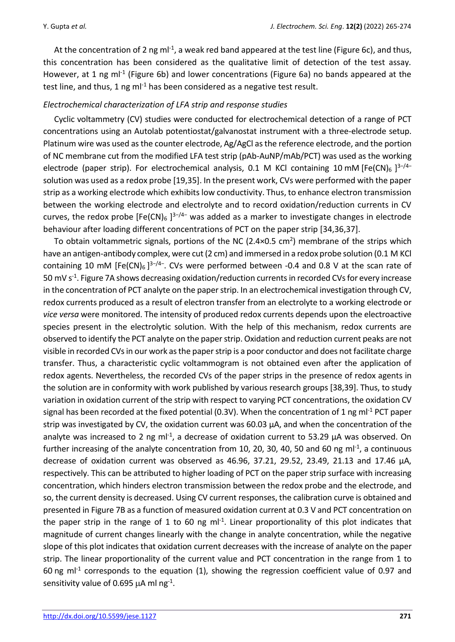At the concentration of 2 ng ml<sup>-1</sup>, a weak red band appeared at the test line (Figure 6c), and thus, this concentration has been considered as the qualitative limit of detection of the test assay. However, at 1 ng ml<sup>-1</sup> (Figure 6b) and lower concentrations (Figure 6a) no bands appeared at the test line, and thus, 1 ng ml<sup>-1</sup> has been considered as a negative test result.

# *Electrochemical characterization of LFA strip and response studies*

Cyclic voltammetry (CV) studies were conducted for electrochemical detection of a range of PCT concentrations using an Autolab potentiostat/galvanostat instrument with a three-electrode setup. Platinum wire was used as the counter electrode, Ag/AgCl as the reference electrode, and the portion of NC membrane cut from the modified LFA test strip (pAb-AuNP/mAb/PCT) was used as the working electrode (paper strip). For electrochemical analysis, 0.1 M KCl containing 10 mM [Fe(CN)<sub>6</sub> ]<sup>3-/4-</sup> solution was used as a redox probe [\[19](#page-8-4)[,35\]](#page-9-0). In the present work, CVs were performed with the paper strip as a working electrode which exhibits low conductivity. Thus, to enhance electron transmission between the working electrode and electrolyte and to record oxidation/reduction currents in CV curves, the redox probe [Fe(CN)<sub>6</sub> ]<sup>3-/4-</sup> was added as a marker to investigate changes in electrode behaviour after loading different concentrations of PCT on the paper strip [34,36[,37\]](#page-9-1).

To obtain voltammetric signals, portions of the NC (2.4×0.5 cm<sup>2</sup>) membrane of the strips which have an antigen-antibody complex, were cut (2 cm) and immersed in a redox probe solution (0.1 M KCl containing 10 mM [Fe(CN)<sub>6</sub>]<sup>3-/4-</sup>. CVs were performed between -0.4 and 0.8 V at the scan rate of 50 mV s<sup>-1</sup>. Figure 7A shows decreasing oxidation/reduction currents in recorded CVs for every increase in the concentration of PCT analyte on the paper strip. In an electrochemical investigation through CV, redox currents produced as a result of electron transfer from an electrolyte to a working electrode or *vice versa* were monitored. The intensity of produced redox currents depends upon the electroactive species present in the electrolytic solution. With the help of this mechanism, redox currents are observed to identify the PCT analyte on the paper strip. Oxidation and reduction current peaks are not visible in recorded CVs in our work as the paper strip is a poor conductor and does not facilitate charge transfer. Thus, a characteristic cyclic voltammogram is not obtained even after the application of redox agents. Nevertheless, the recorded CVs of the paper strips in the presence of redox agents in the solution are in conformity with work published by various research groups [38,39]. Thus, to study variation in oxidation current of the strip with respect to varying PCT concentrations, the oxidation CV signal has been recorded at the fixed potential (0.3V). When the concentration of 1 ng ml<sup>-1</sup> PCT paper strip was investigated by CV, the oxidation current was 60.03 μA, and when the concentration of the analyte was increased to 2 ng ml<sup>-1</sup>, a decrease of oxidation current to 53.29  $\mu$ A was observed. On further increasing of the analyte concentration from 10, 20, 30, 40, 50 and 60 ng ml<sup>-1</sup>, a continuous decrease of oxidation current was observed as 46.96, 37.21, 29.52, 23.49, 21.13 and 17.46 μA, respectively. This can be attributed to higher loading of PCT on the paper strip surface with increasing concentration, which hinders electron transmission between the redox probe and the electrode, and so, the current density is decreased. Using CV current responses, the calibration curve is obtained and presented in Figure 7B as a function of measured oxidation current at 0.3 V and PCT concentration on the paper strip in the range of 1 to 60 ng ml<sup>-1</sup>. Linear proportionality of this plot indicates that magnitude of current changes linearly with the change in analyte concentration, while the negative slope of this plot indicates that oxidation current decreases with the increase of analyte on the paper strip. The linear proportionality of the current value and PCT concentration in the range from 1 to 60 ng m $l^{-1}$  corresponds to the equation (1), showing the regression coefficient value of 0.97 and sensitivity value of 0.695  $\mu$ A ml ng<sup>-1</sup>.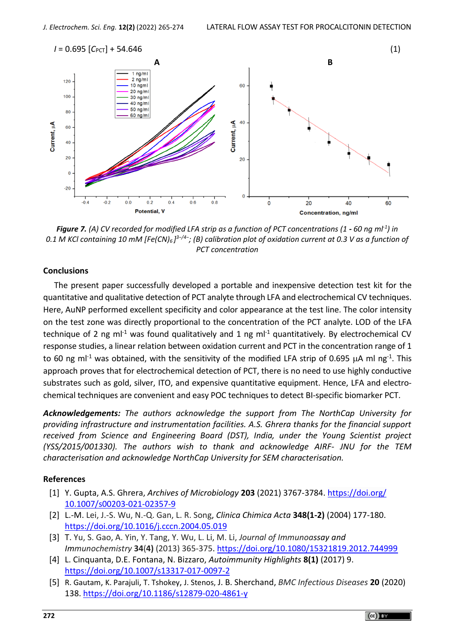

*Figure 7. (A) CV recorded for modified LFA strip as a function of PCT concentrations (1 - 60 ng ml-1 ) in 0.1 M KCl containing 10 mM [Fe(CN)6 ] 3−/4−; (B) calibration plot of oxidation current at 0.3 V as a function of PCT concentration*

#### **Conclusions**

The present paper successfully developed a portable and inexpensive detection test kit for the quantitative and qualitative detection of PCT analyte through LFA and electrochemical CV techniques. Here, AuNP performed excellent specificity and color appearance at the test line. The color intensity on the test zone was directly proportional to the concentration of the PCT analyte. LOD of the LFA technique of 2 ng m $l^{-1}$  was found qualitatively and 1 ng m $l^{-1}$  quantitatively. By electrochemical CV response studies, a linear relation between oxidation current and PCT in the concentration range of 1 to 60 ng ml<sup>-1</sup> was obtained, with the sensitivity of the modified LFA strip of 0.695  $\mu$ A ml ng<sup>-1</sup>. This approach proves that for electrochemical detection of PCT, there is no need to use highly conductive substrates such as gold, silver, ITO, and expensive quantitative equipment. Hence, LFA and electrochemical techniques are convenient and easy POC techniques to detect BI-specific biomarker PCT.

*Acknowledgements: The authors acknowledge the support from The NorthCap University for providing infrastructure and instrumentation facilities. A.S. Ghrera thanks for the financial support received from Science and Engineering Board (DST), India, under the Young Scientist project (YSS/2015/001330). The authors wish to thank and acknowledge AIRF- JNU for the TEM characterisation and acknowledge NorthCap University for SEM characterisation.*

#### **References**

- <span id="page-7-0"></span>[1] Y. Gupta, A.S. Ghrera, *Archives of Microbiology* **203** (2021) 3767-3784. [https://doi.org/](https://doi.org/10.1007/s00203-021-02357-9) [10.1007/s00203-021-02357-9](https://doi.org/10.1007/s00203-021-02357-9)
- <span id="page-7-1"></span>[2] L.-M. Lei, J.-S. Wu, N.-Q. Gan, L. R. Song, *Clinica Chimica Acta* **348(1-2)** (2004) 177-180. <https://doi.org/10.1016/j.cccn.2004.05.019>
- [3] T. Yu, S. Gao, A. Yin, Y. Tang, Y. Wu, L. Li, M. Li, *Journal of Immunoassay and Immunochemistry* **34**(**4)** (2013) 365-375. <https://doi.org/10.1080/15321819.2012.744999>
- <span id="page-7-2"></span>[4] L. Cinquanta, D.E. Fontana, N. Bizzaro, *Autoimmunity Highlights* **8(1)** (2017) 9. <https://doi.org/10.1007/s13317-017-0097-2>
- [5] R. Gautam, K. Parajuli, T. Tshokey, J. Stenos, J. B. Sherchand, *BMC Infectious Diseases* **20** (2020) 138. <https://doi.org/10.1186/s12879-020-4861-y>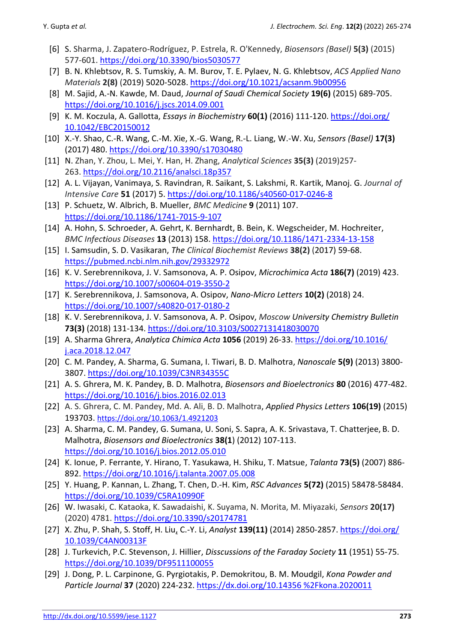- <span id="page-8-0"></span>[6] S. Sharma, J. Zapatero-Rodríguez, P. Estrela, R. O'Kennedy, *Biosensors (Basel)* **5(3)** (2015) 577-601. <https://doi.org/10.3390/bios5030577>
- [7] B. N. Khlebtsov, R. S. Tumskiy, A. M. Burov, T. E. Pylaev, N. G. Khlebtsov, *ACS Applied Nano Materials* **2(8)** (2019) 5020-5028. <https://doi.org/10.1021/acsanm.9b00956>
- <span id="page-8-1"></span>[8] M. Sajid, A.-N. Kawde, M. Daud, *Journal of Saudi Chemical Society* **19(6)** (2015) 689-705. <https://doi.org/10.1016/j.jscs.2014.09.001>
- [9] K. M. Koczula, A. Gallotta, *Essays in Biochemistry* **60(1)** (2016) 111-120. [https://doi.org/](https://doi.org/10.1042/EBC20150012) [10.1042/EBC20150012](https://doi.org/10.1042/EBC20150012)
- <span id="page-8-2"></span>[10] X.-Y. Shao, C.-R. Wang, C.-M. Xie, X.-G. Wang, R.-L. Liang, W.-W. Xu, *Sensors (Basel)* **17(3)**  (2017) 480. <https://doi.org/10.3390/s17030480>
- [11] N. Zhan, Y. Zhou, L. Mei, Y. Han, H. Zhang, *Analytical Sciences* **35(3)** (2019)257- 263. <https://doi.org/10.2116/analsci.18p357>
- [12] A. L. Vijayan, Vanimaya, S. Ravindran, R. Saikant, S. Lakshmi, R. Kartik, Manoj. G. *Journal of Intensive Care* **51** (2017) 5. <https://doi.org/10.1186/s40560-017-0246-8>
- [13] P. Schuetz, W. Albrich, B. Mueller, *BMC Medicine* **9** (2011) 107. <https://doi.org/10.1186/1741-7015-9-107>
- <span id="page-8-3"></span>[14] A. Hohn, S. Schroeder, A. Gehrt, K. Bernhardt, B. Bein, K. Wegscheider, M. Hochreiter, *BMC Infectious Diseases* **13** (2013) 158. <https://doi.org/10.1186/1471-2334-13-158>
- [15] I. Samsudin, S. D. Vasikaran, *The Clinical Biochemist Reviews* **38(2)** (2017) 59-68. <https://pubmed.ncbi.nlm.nih.gov/29332972>
- <span id="page-8-4"></span>[16] K. V. Serebrennikova, J. V. Samsonova, A. P. Osipov, *Microchimica Acta* **186(7)** (2019) 423. <https://doi.org/10.1007/s00604-019-3550-2>
- [17] K. Serebrennikova, J. Samsonova, A. Osipov, *Nano-Micro Letters* **10(2)** (2018) 24. <https://doi.org/10.1007/s40820-017-0180-2>
- [18] K. V. Serebrennikova, J. V. Samsonova, A. P. Osipov, *Moscow University Chemistry Bulletin*  **73(3)** (2018) 131-134. <https://doi.org/10.3103/S0027131418030070>
- [19] A. Sharma Ghrera, *Analytica Chimica Acta* **1056** (2019) 26-33. [https://doi.org/10.1016/](https://doi.org/10.1016/j.aca.2018.12.047) [j.aca.2018.12.047](https://doi.org/10.1016/j.aca.2018.12.047)
- <span id="page-8-5"></span>[20] C. M. Pandey, A. Sharma, G. Sumana, I. Tiwari, B. D. Malhotra, *Nanoscale* **5(9)** (2013) 3800- 3807. <https://doi.org/10.1039/C3NR34355C>
- <span id="page-8-6"></span>[21] A. S. Ghrera, M. K. Pandey, B. D. Malhotra, *Biosensors and Bioelectronics* **80** (2016) 477-482. <https://doi.org/10.1016/j.bios.2016.02.013>
- [22] A. S. Ghrera, C. M. Pandey, Md. A. Ali, B. D. Malhotra, *Applied Physics Letters* **106(19)** (2015) 193703. <https://doi.org/10.1063/1.4921203>
- [23] [A. Sharma,](https://www.sciencedirect.com/science/article/abs/pii/S0956566312002904#!) C. [M. Pandey, G. Sumana, U. Soni, S. Sapra,](https://www.sciencedirect.com/science/article/abs/pii/S0956566312002904#!) A. [K. Srivastava, T. Chatterjee,](https://www.sciencedirect.com/science/article/abs/pii/S0956566312002904#!) B. [D.](https://www.sciencedirect.com/science/article/abs/pii/S0956566312002904#!)  [Malhotra,](https://www.sciencedirect.com/science/article/abs/pii/S0956566312002904#!) *Biosensors and Bioelectronics* **38(1**) (2012) 107-113. <https://doi.org/10.1016/j.bios.2012.05.010>
- [24] K. Ionue, P. Ferrante, Y. Hirano, T. Yasukawa, H. Shiku, T. Matsue, *Talanta* **73(5)** (2007) 886- 892. <https://doi.org/10.1016/j.talanta.2007.05.008>
- <span id="page-8-7"></span>[25] Y. Huang, P. Kannan, L. Zhang, T. Chen, D.-H. Kim, *RSC Advances* **5(72)** (2015) 58478-58484. <https://doi.org/10.1039/C5RA10990F>
- [26] W. Iwasaki, C. Kataoka, K. Sawadaishi, K. Suyama, N. Morita, M. Miyazaki, *Sensors* **20(17)**  (2020) 4781. <https://doi.org/10.3390/s20174781>
- [27] X. Zhu, P. Shah, S. Stoff, H. Liu, C.-Y. Li, *Analyst* **139(11)** (2014) 2850-2857[. https://doi.org/](https://doi.org/10.1039/C4AN00313F) [10.1039/C4AN00313F](https://doi.org/10.1039/C4AN00313F)
- [28] J. Turkevich, P.C. Stevenson, J. Hillier, *Disscussions of the Faraday Society* **11** (1951) 55-75. <https://doi.org/10.1039/DF9511100055>
- [29] J. Dong, P. L. Carpinone, G. Pyrgiotakis, P. Demokritou, B. M. Moudgil, *Kona Powder and Particle Journal* **37** (2020) 224-232. [https://dx.doi.org/10.14356 %2Fkona.2020011](https://dx.doi.org/10.14356%20%2Fkona.2020011)